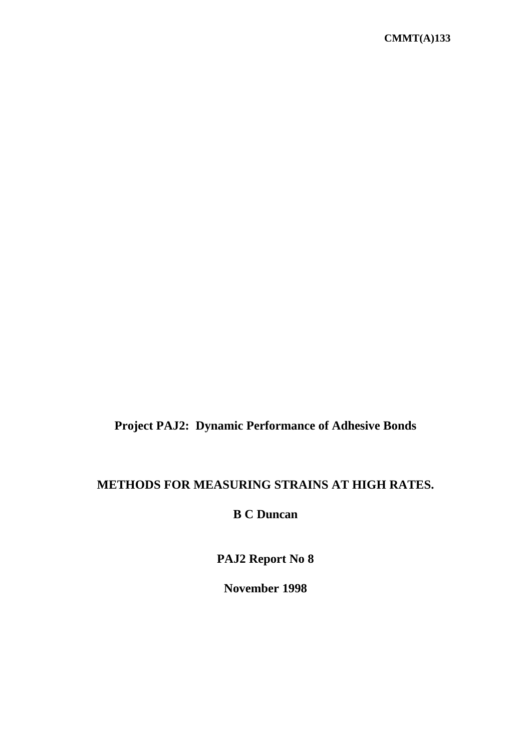# **Project PAJ2: Dynamic Performance of Adhesive Bonds**

# **METHODS FOR MEASURING STRAINS AT HIGH RATES.**

# **B C Duncan**

**PAJ2 Report No 8**

**November 1998**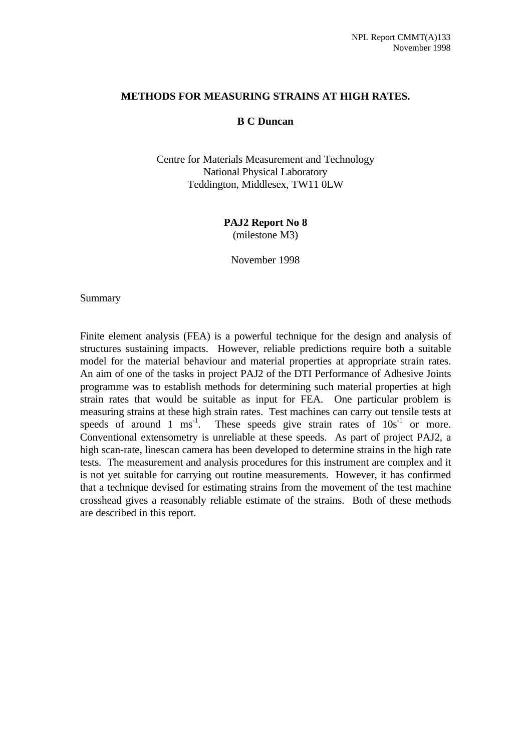#### **METHODS FOR MEASURING STRAINS AT HIGH RATES.**

#### **B C Duncan**

Centre for Materials Measurement and Technology National Physical Laboratory Teddington, Middlesex, TW11 0LW

> **PAJ2 Report No 8** (milestone M3)

November 1998

#### Summary

Finite element analysis (FEA) is a powerful technique for the design and analysis of structures sustaining impacts. However, reliable predictions require both a suitable model for the material behaviour and material properties at appropriate strain rates. An aim of one of the tasks in project PAJ2 of the DTI Performance of Adhesive Joints programme was to establish methods for determining such material properties at high strain rates that would be suitable as input for FEA. One particular problem is measuring strains at these high strain rates. Test machines can carry out tensile tests at speeds of around 1 ms<sup>-1</sup>. These speeds give strain rates of  $10s<sup>-1</sup>$  or more. Conventional extensometry is unreliable at these speeds. As part of project PAJ2, a high scan-rate, linescan camera has been developed to determine strains in the high rate tests. The measurement and analysis procedures for this instrument are complex and it is not yet suitable for carrying out routine measurements. However, it has confirmed that a technique devised for estimating strains from the movement of the test machine crosshead gives a reasonably reliable estimate of the strains. Both of these methods are described in this report.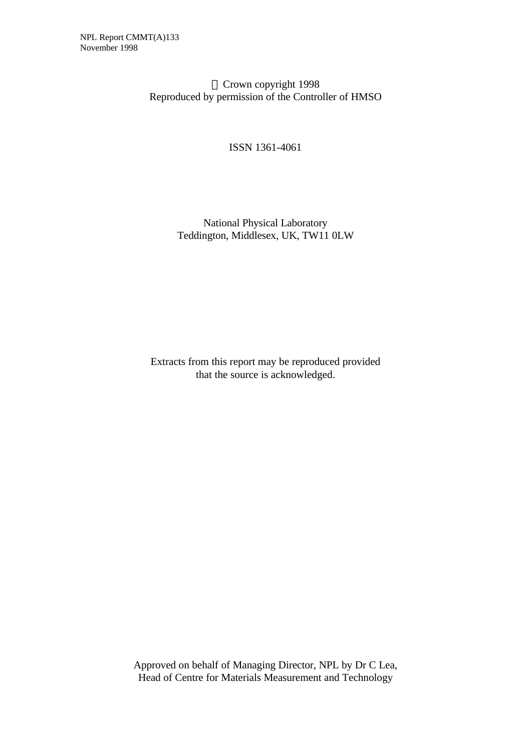Crown copyright 1998 Reproduced by permission of the Controller of HMSO

ISSN 1361-4061

### National Physical Laboratory Teddington, Middlesex, UK, TW11 0LW

Extracts from this report may be reproduced provided that the source is acknowledged.

Approved on behalf of Managing Director, NPL by Dr C Lea, Head of Centre for Materials Measurement and Technology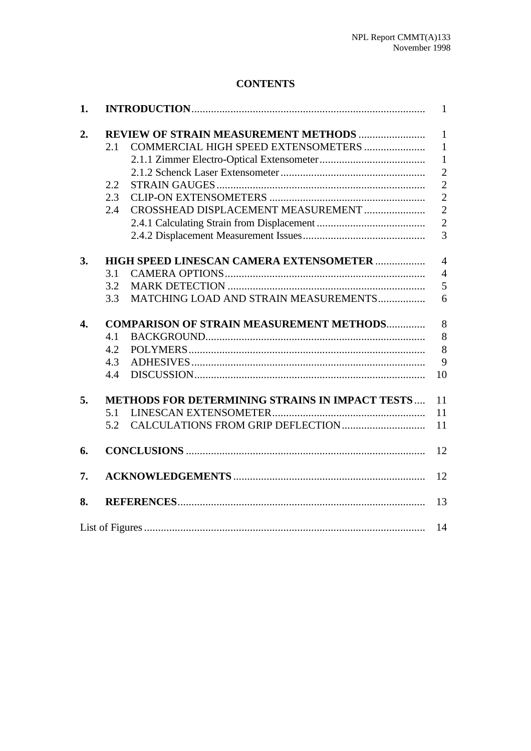## **CONTENTS**

| 1. |                                                        |                                              |                |  |  |
|----|--------------------------------------------------------|----------------------------------------------|----------------|--|--|
| 2. |                                                        | <b>REVIEW OF STRAIN MEASUREMENT METHODS </b> | $\mathbf{1}$   |  |  |
|    | 2.1                                                    |                                              | $\mathbf{1}$   |  |  |
|    |                                                        |                                              | $\mathbf{1}$   |  |  |
|    |                                                        |                                              | $\overline{2}$ |  |  |
|    | 2.2                                                    |                                              | $\overline{2}$ |  |  |
|    | 2.3                                                    |                                              | $\overline{2}$ |  |  |
|    | 2.4                                                    | CROSSHEAD DISPLACEMENT MEASUREMENT           | $\overline{2}$ |  |  |
|    |                                                        |                                              | $\overline{2}$ |  |  |
|    |                                                        |                                              | $\overline{3}$ |  |  |
| 3. | HIGH SPEED LINESCAN CAMERA EXTENSOMETER                |                                              |                |  |  |
|    | 3.1                                                    |                                              | $\overline{4}$ |  |  |
|    | 3.2                                                    |                                              | 5              |  |  |
|    | 3.3                                                    | MATCHING LOAD AND STRAIN MEASUREMENTS        | 6              |  |  |
| 4. | <b>COMPARISON OF STRAIN MEASUREMENT METHODS</b>        |                                              |                |  |  |
|    | 4.1                                                    |                                              | 8<br>8         |  |  |
|    | 4.2                                                    |                                              | 8              |  |  |
|    | 4.3                                                    |                                              | 9              |  |  |
|    | 4.4                                                    |                                              | 10             |  |  |
| 5. | <b>METHODS FOR DETERMINING STRAINS IN IMPACT TESTS</b> |                                              |                |  |  |
|    | 5.1                                                    |                                              | 11<br>11       |  |  |
|    | 5.2                                                    |                                              | 11             |  |  |
| 6. |                                                        |                                              | 12             |  |  |
| 7. |                                                        |                                              | 12             |  |  |
| 8. |                                                        |                                              | 13             |  |  |
|    |                                                        |                                              | 14             |  |  |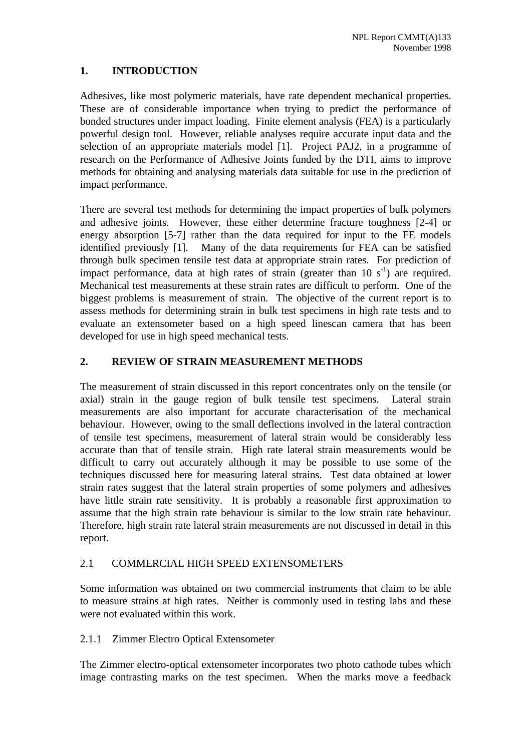### **1. INTRODUCTION**

Adhesives, like most polymeric materials, have rate dependent mechanical properties. These are of considerable importance when trying to predict the performance of bonded structures under impact loading. Finite element analysis (FEA) is a particularly powerful design tool. However, reliable analyses require accurate input data and the selection of an appropriate materials model [1]. Project PAJ2, in a programme of research on the Performance of Adhesive Joints funded by the DTI, aims to improve methods for obtaining and analysing materials data suitable for use in the prediction of impact performance.

There are several test methods for determining the impact properties of bulk polymers and adhesive joints. However, these either determine fracture toughness [2-4] or energy absorption [5-7] rather than the data required for input to the FE models identified previously [1]. Many of the data requirements for FEA can be satisfied through bulk specimen tensile test data at appropriate strain rates. For prediction of impact performance, data at high rates of strain (greater than  $10 s<sup>-1</sup>$ ) are required. Mechanical test measurements at these strain rates are difficult to perform. One of the biggest problems is measurement of strain. The objective of the current report is to assess methods for determining strain in bulk test specimens in high rate tests and to evaluate an extensometer based on a high speed linescan camera that has been developed for use in high speed mechanical tests.

### **2. REVIEW OF STRAIN MEASUREMENT METHODS**

The measurement of strain discussed in this report concentrates only on the tensile (or axial) strain in the gauge region of bulk tensile test specimens. Lateral strain measurements are also important for accurate characterisation of the mechanical behaviour. However, owing to the small deflections involved in the lateral contraction of tensile test specimens, measurement of lateral strain would be considerably less accurate than that of tensile strain. High rate lateral strain measurements would be difficult to carry out accurately although it may be possible to use some of the techniques discussed here for measuring lateral strains. Test data obtained at lower strain rates suggest that the lateral strain properties of some polymers and adhesives have little strain rate sensitivity. It is probably a reasonable first approximation to assume that the high strain rate behaviour is similar to the low strain rate behaviour. Therefore, high strain rate lateral strain measurements are not discussed in detail in this report.

#### 2.1 COMMERCIAL HIGH SPEED EXTENSOMETERS

Some information was obtained on two commercial instruments that claim to be able to measure strains at high rates. Neither is commonly used in testing labs and these were not evaluated within this work.

2.1.1 Zimmer Electro Optical Extensometer

The Zimmer electro-optical extensometer incorporates two photo cathode tubes which image contrasting marks on the test specimen. When the marks move a feedback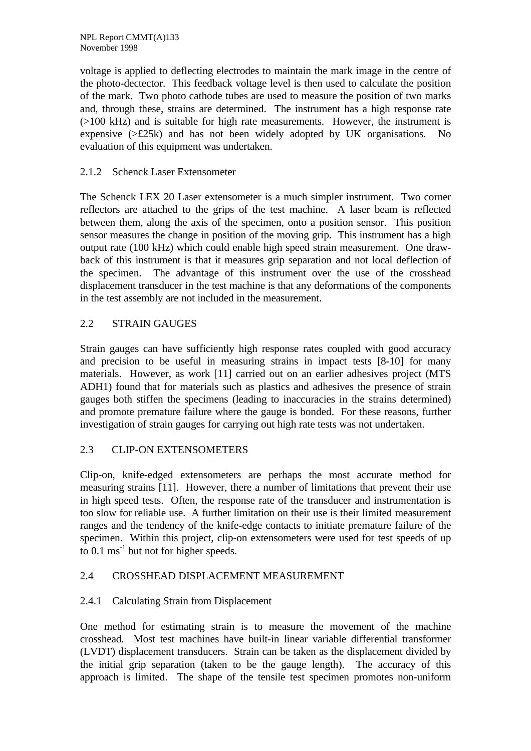voltage is applied to deflecting electrodes to maintain the mark image in the centre of the photo-dectector. This feedback voltage level is then used to calculate the position of the mark. Two photo cathode tubes are used to measure the position of two marks and, through these, strains are determined. The instrument has a high response rate (>100 kHz) and is suitable for high rate measurements. However, the instrument is expensive (>£25k) and has not been widely adopted by UK organisations. No evaluation of this equipment was undertaken.

#### 2.1.2 Schenck Laser Extensometer

The Schenck LEX 20 Laser extensometer is a much simpler instrument. Two corner reflectors are attached to the grips of the test machine. A laser beam is reflected between them, along the axis of the specimen, onto a position sensor. This position sensor measures the change in position of the moving grip. This instrument has a high output rate (100 kHz) which could enable high speed strain measurement. One drawback of this instrument is that it measures grip separation and not local deflection of the specimen. The advantage of this instrument over the use of the crosshead displacement transducer in the test machine is that any deformations of the components in the test assembly are not included in the measurement.

#### 2.2 STRAIN GAUGES

Strain gauges can have sufficiently high response rates coupled with good accuracy and precision to be useful in measuring strains in impact tests [8-10] for many materials. However, as work [11] carried out on an earlier adhesives project (MTS ADH1) found that for materials such as plastics and adhesives the presence of strain gauges both stiffen the specimens (leading to inaccuracies in the strains determined) and promote premature failure where the gauge is bonded. For these reasons, further investigation of strain gauges for carrying out high rate tests was not undertaken.

#### 2.3 CLIP-ON EXTENSOMETERS

Clip-on, knife-edged extensometers are perhaps the most accurate method for measuring strains [11]. However, there a number of limitations that prevent their use in high speed tests. Often, the response rate of the transducer and instrumentation is too slow for reliable use. A further limitation on their use is their limited measurement ranges and the tendency of the knife-edge contacts to initiate premature failure of the specimen. Within this project, clip-on extensometers were used for test speeds of up to  $0.1 \text{ ms}^{-1}$  but not for higher speeds.

#### 2.4 CROSSHEAD DISPLACEMENT MEASUREMENT

#### 2.4.1 Calculating Strain from Displacement

One method for estimating strain is to measure the movement of the machine crosshead. Most test machines have built-in linear variable differential transformer (LVDT) displacement transducers. Strain can be taken as the displacement divided by the initial grip separation (taken to be the gauge length). The accuracy of this approach is limited. The shape of the tensile test specimen promotes non-uniform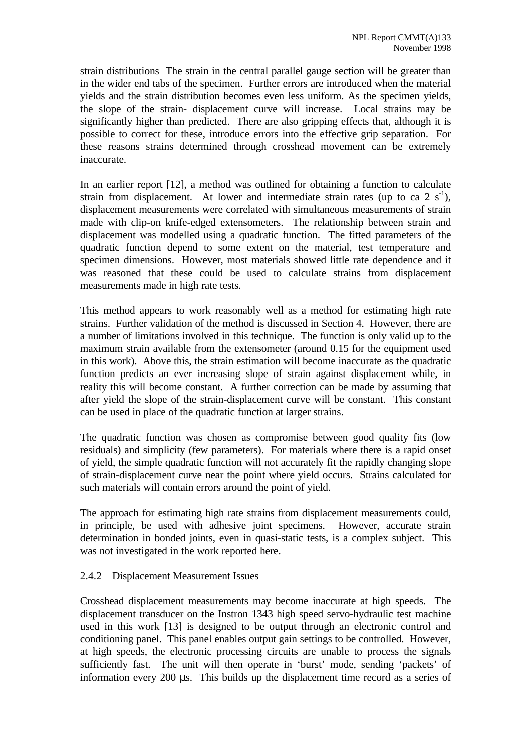strain distributions The strain in the central parallel gauge section will be greater than in the wider end tabs of the specimen. Further errors are introduced when the material yields and the strain distribution becomes even less uniform. As the specimen yields, the slope of the strain- displacement curve will increase. Local strains may be significantly higher than predicted. There are also gripping effects that, although it is possible to correct for these, introduce errors into the effective grip separation. For these reasons strains determined through crosshead movement can be extremely inaccurate.

In an earlier report [12], a method was outlined for obtaining a function to calculate strain from displacement. At lower and intermediate strain rates (up to ca 2  $s^{-1}$ ), displacement measurements were correlated with simultaneous measurements of strain made with clip-on knife-edged extensometers. The relationship between strain and displacement was modelled using a quadratic function. The fitted parameters of the quadratic function depend to some extent on the material, test temperature and specimen dimensions. However, most materials showed little rate dependence and it was reasoned that these could be used to calculate strains from displacement measurements made in high rate tests.

This method appears to work reasonably well as a method for estimating high rate strains. Further validation of the method is discussed in Section 4. However, there are a number of limitations involved in this technique. The function is only valid up to the maximum strain available from the extensometer (around 0.15 for the equipment used in this work). Above this, the strain estimation will become inaccurate as the quadratic function predicts an ever increasing slope of strain against displacement while, in reality this will become constant. A further correction can be made by assuming that after yield the slope of the strain-displacement curve will be constant. This constant can be used in place of the quadratic function at larger strains.

The quadratic function was chosen as compromise between good quality fits (low residuals) and simplicity (few parameters). For materials where there is a rapid onset of yield, the simple quadratic function will not accurately fit the rapidly changing slope of strain-displacement curve near the point where yield occurs. Strains calculated for such materials will contain errors around the point of yield.

The approach for estimating high rate strains from displacement measurements could, in principle, be used with adhesive joint specimens. However, accurate strain determination in bonded joints, even in quasi-static tests, is a complex subject. This was not investigated in the work reported here.

#### 2.4.2 Displacement Measurement Issues

Crosshead displacement measurements may become inaccurate at high speeds. The displacement transducer on the Instron 1343 high speed servo-hydraulic test machine used in this work [13] is designed to be output through an electronic control and conditioning panel. This panel enables output gain settings to be controlled. However, at high speeds, the electronic processing circuits are unable to process the signals sufficiently fast. The unit will then operate in 'burst' mode, sending 'packets' of information every 200 μs. This builds up the displacement time record as a series of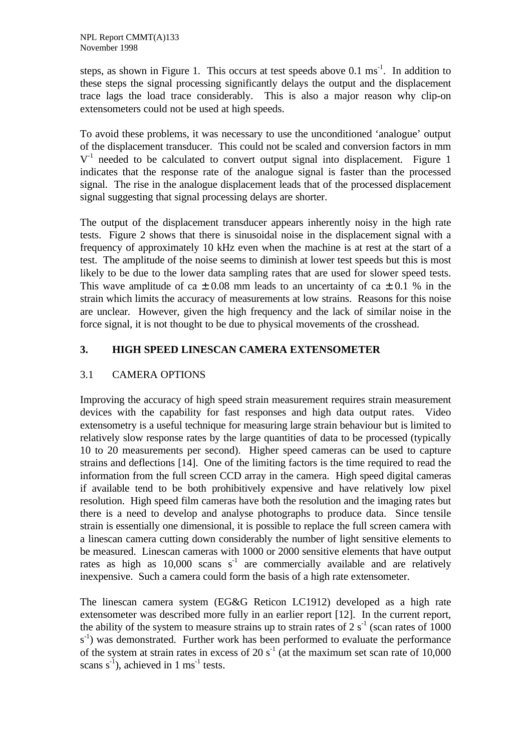steps, as shown in Figure 1. This occurs at test speeds above  $0.1 \text{ ms}^{-1}$ . In addition to these steps the signal processing significantly delays the output and the displacement trace lags the load trace considerably. This is also a major reason why clip-on extensometers could not be used at high speeds.

To avoid these problems, it was necessary to use the unconditioned 'analogue' output of the displacement transducer. This could not be scaled and conversion factors in mm  $V<sup>-1</sup>$  needed to be calculated to convert output signal into displacement. Figure 1 indicates that the response rate of the analogue signal is faster than the processed signal. The rise in the analogue displacement leads that of the processed displacement signal suggesting that signal processing delays are shorter.

The output of the displacement transducer appears inherently noisy in the high rate tests. Figure 2 shows that there is sinusoidal noise in the displacement signal with a frequency of approximately 10 kHz even when the machine is at rest at the start of a test. The amplitude of the noise seems to diminish at lower test speeds but this is most likely to be due to the lower data sampling rates that are used for slower speed tests. This wave amplitude of ca  $\pm$  0.08 mm leads to an uncertainty of ca  $\pm$  0.1 % in the strain which limits the accuracy of measurements at low strains. Reasons for this noise are unclear. However, given the high frequency and the lack of similar noise in the force signal, it is not thought to be due to physical movements of the crosshead.

#### **3. HIGH SPEED LINESCAN CAMERA EXTENSOMETER**

#### 3.1 CAMERA OPTIONS

Improving the accuracy of high speed strain measurement requires strain measurement devices with the capability for fast responses and high data output rates. Video extensometry is a useful technique for measuring large strain behaviour but is limited to relatively slow response rates by the large quantities of data to be processed (typically 10 to 20 measurements per second). Higher speed cameras can be used to capture strains and deflections [14]. One of the limiting factors is the time required to read the information from the full screen CCD array in the camera. High speed digital cameras if available tend to be both prohibitively expensive and have relatively low pixel resolution. High speed film cameras have both the resolution and the imaging rates but there is a need to develop and analyse photographs to produce data. Since tensile strain is essentially one dimensional, it is possible to replace the full screen camera with a linescan camera cutting down considerably the number of light sensitive elements to be measured. Linescan cameras with 1000 or 2000 sensitive elements that have output rates as high as  $10,000$  scans s<sup>-1</sup> are commercially available and are relatively inexpensive. Such a camera could form the basis of a high rate extensometer.

The linescan camera system (EG&G Reticon LC1912) developed as a high rate extensometer was described more fully in an earlier report [12]. In the current report, the ability of the system to measure strains up to strain rates of  $2 s<sup>-1</sup>$  (scan rates of 1000 s<sup>-1</sup>) was demonstrated. Further work has been performed to evaluate the performance of the system at strain rates in excess of 20  $s^{-1}$  (at the maximum set scan rate of 10,000 scans  $s^{-1}$ ), achieved in 1 ms<sup>-1</sup> tests.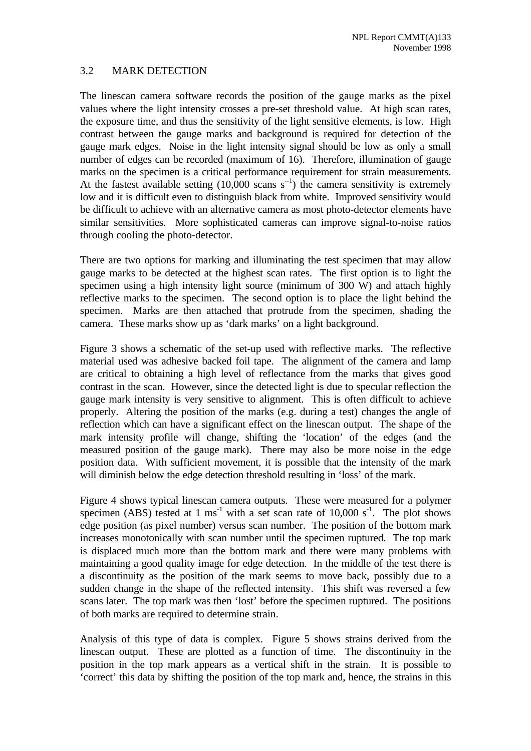#### 3.2 MARK DETECTION

The linescan camera software records the position of the gauge marks as the pixel values where the light intensity crosses a pre-set threshold value. At high scan rates, the exposure time, and thus the sensitivity of the light sensitive elements, is low. High contrast between the gauge marks and background is required for detection of the gauge mark edges. Noise in the light intensity signal should be low as only a small number of edges can be recorded (maximum of 16). Therefore, illumination of gauge marks on the specimen is a critical performance requirement for strain measurements. At the fastest available setting  $(10,000 \text{ scans } s^{-1})$  the camera sensitivity is extremely low and it is difficult even to distinguish black from white. Improved sensitivity would be difficult to achieve with an alternative camera as most photo-detector elements have similar sensitivities. More sophisticated cameras can improve signal-to-noise ratios through cooling the photo-detector.

There are two options for marking and illuminating the test specimen that may allow gauge marks to be detected at the highest scan rates. The first option is to light the specimen using a high intensity light source (minimum of 300 W) and attach highly reflective marks to the specimen. The second option is to place the light behind the specimen. Marks are then attached that protrude from the specimen, shading the camera. These marks show up as 'dark marks' on a light background.

Figure 3 shows a schematic of the set-up used with reflective marks. The reflective material used was adhesive backed foil tape. The alignment of the camera and lamp are critical to obtaining a high level of reflectance from the marks that gives good contrast in the scan. However, since the detected light is due to specular reflection the gauge mark intensity is very sensitive to alignment. This is often difficult to achieve properly. Altering the position of the marks (e.g. during a test) changes the angle of reflection which can have a significant effect on the linescan output. The shape of the mark intensity profile will change, shifting the 'location' of the edges (and the measured position of the gauge mark). There may also be more noise in the edge position data. With sufficient movement, it is possible that the intensity of the mark will diminish below the edge detection threshold resulting in 'loss' of the mark.

Figure 4 shows typical linescan camera outputs. These were measured for a polymer specimen (ABS) tested at 1 ms<sup>-1</sup> with a set scan rate of 10,000 s<sup>-1</sup>. The plot shows edge position (as pixel number) versus scan number. The position of the bottom mark increases monotonically with scan number until the specimen ruptured. The top mark is displaced much more than the bottom mark and there were many problems with maintaining a good quality image for edge detection. In the middle of the test there is a discontinuity as the position of the mark seems to move back, possibly due to a sudden change in the shape of the reflected intensity. This shift was reversed a few scans later. The top mark was then 'lost' before the specimen ruptured. The positions of both marks are required to determine strain.

Analysis of this type of data is complex. Figure 5 shows strains derived from the linescan output. These are plotted as a function of time. The discontinuity in the position in the top mark appears as a vertical shift in the strain. It is possible to 'correct' this data by shifting the position of the top mark and, hence, the strains in this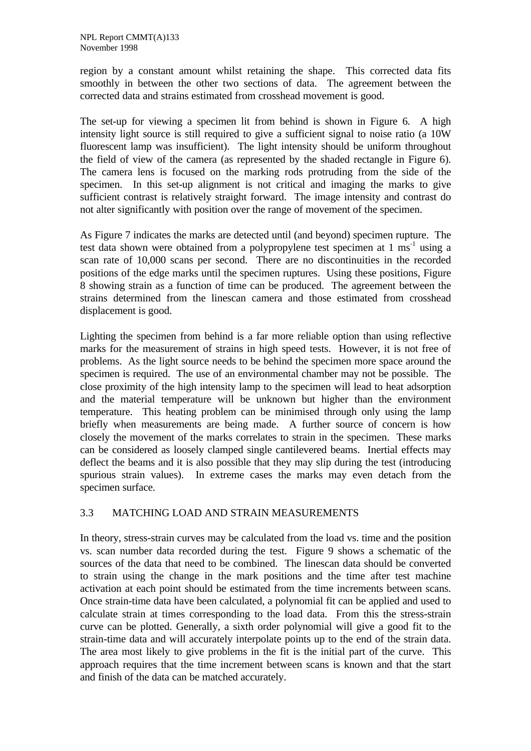region by a constant amount whilst retaining the shape. This corrected data fits smoothly in between the other two sections of data. The agreement between the corrected data and strains estimated from crosshead movement is good.

The set-up for viewing a specimen lit from behind is shown in Figure 6. A high intensity light source is still required to give a sufficient signal to noise ratio (a 10W fluorescent lamp was insufficient). The light intensity should be uniform throughout the field of view of the camera (as represented by the shaded rectangle in Figure 6). The camera lens is focused on the marking rods protruding from the side of the specimen. In this set-up alignment is not critical and imaging the marks to give sufficient contrast is relatively straight forward. The image intensity and contrast do not alter significantly with position over the range of movement of the specimen.

As Figure 7 indicates the marks are detected until (and beyond) specimen rupture. The test data shown were obtained from a polypropylene test specimen at  $1 \text{ ms}^{-1}$  using a scan rate of 10,000 scans per second. There are no discontinuities in the recorded positions of the edge marks until the specimen ruptures. Using these positions, Figure 8 showing strain as a function of time can be produced. The agreement between the strains determined from the linescan camera and those estimated from crosshead displacement is good.

Lighting the specimen from behind is a far more reliable option than using reflective marks for the measurement of strains in high speed tests. However, it is not free of problems. As the light source needs to be behind the specimen more space around the specimen is required. The use of an environmental chamber may not be possible. The close proximity of the high intensity lamp to the specimen will lead to heat adsorption and the material temperature will be unknown but higher than the environment temperature. This heating problem can be minimised through only using the lamp briefly when measurements are being made. A further source of concern is how closely the movement of the marks correlates to strain in the specimen. These marks can be considered as loosely clamped single cantilevered beams. Inertial effects may deflect the beams and it is also possible that they may slip during the test (introducing spurious strain values). In extreme cases the marks may even detach from the specimen surface.

#### 3.3 MATCHING LOAD AND STRAIN MEASUREMENTS

In theory, stress-strain curves may be calculated from the load vs. time and the position vs. scan number data recorded during the test. Figure 9 shows a schematic of the sources of the data that need to be combined. The linescan data should be converted to strain using the change in the mark positions and the time after test machine activation at each point should be estimated from the time increments between scans. Once strain-time data have been calculated, a polynomial fit can be applied and used to calculate strain at times corresponding to the load data. From this the stress-strain curve can be plotted. Generally, a sixth order polynomial will give a good fit to the strain-time data and will accurately interpolate points up to the end of the strain data. The area most likely to give problems in the fit is the initial part of the curve. This approach requires that the time increment between scans is known and that the start and finish of the data can be matched accurately.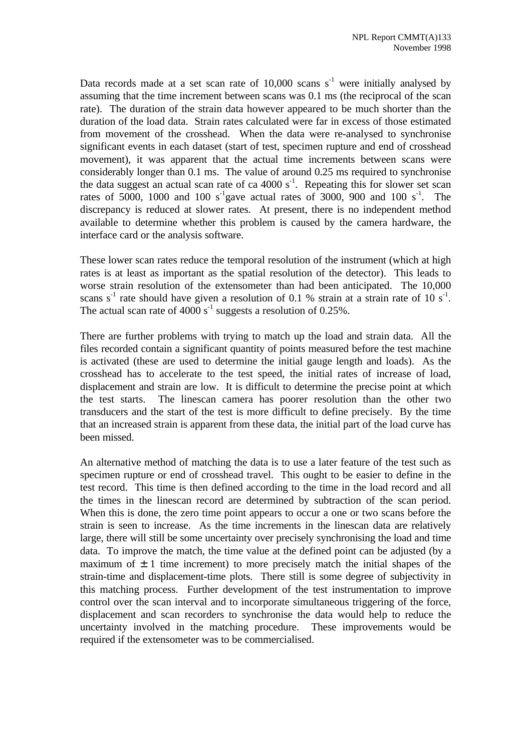Data records made at a set scan rate of  $10,000$  scans s<sup>-1</sup> were initially analysed by assuming that the time increment between scans was 0.1 ms (the reciprocal of the scan rate). The duration of the strain data however appeared to be much shorter than the duration of the load data. Strain rates calculated were far in excess of those estimated from movement of the crosshead. When the data were re-analysed to synchronise significant events in each dataset (start of test, specimen rupture and end of crosshead movement), it was apparent that the actual time increments between scans were considerably longer than 0.1 ms. The value of around 0.25 ms required to synchronise the data suggest an actual scan rate of ca  $4000 \text{ s}^{-1}$ . Repeating this for slower set scan rates of 5000, 1000 and 100 s<sup>-1</sup>gave actual rates of 3000, 900 and 100 s<sup>-1</sup>. The discrepancy is reduced at slower rates. At present, there is no independent method available to determine whether this problem is caused by the camera hardware, the interface card or the analysis software.

These lower scan rates reduce the temporal resolution of the instrument (which at high rates is at least as important as the spatial resolution of the detector). This leads to worse strain resolution of the extensometer than had been anticipated. The 10,000 scans  $s^{-1}$  rate should have given a resolution of 0.1 % strain at a strain rate of 10  $s^{-1}$ . The actual scan rate of  $4000 s<sup>-1</sup>$  suggests a resolution of 0.25%.

There are further problems with trying to match up the load and strain data. All the files recorded contain a significant quantity of points measured before the test machine is activated (these are used to determine the initial gauge length and loads). As the crosshead has to accelerate to the test speed, the initial rates of increase of load, displacement and strain are low. It is difficult to determine the precise point at which the test starts. The linescan camera has poorer resolution than the other two transducers and the start of the test is more difficult to define precisely. By the time that an increased strain is apparent from these data, the initial part of the load curve has been missed.

An alternative method of matching the data is to use a later feature of the test such as specimen rupture or end of crosshead travel. This ought to be easier to define in the test record. This time is then defined according to the time in the load record and all the times in the linescan record are determined by subtraction of the scan period. When this is done, the zero time point appears to occur a one or two scans before the strain is seen to increase. As the time increments in the linescan data are relatively large, there will still be some uncertainty over precisely synchronising the load and time data. To improve the match, the time value at the defined point can be adjusted (by a maximum of  $\pm$  1 time increment) to more precisely match the initial shapes of the strain-time and displacement-time plots. There still is some degree of subjectivity in this matching process. Further development of the test instrumentation to improve control over the scan interval and to incorporate simultaneous triggering of the force, displacement and scan recorders to synchronise the data would help to reduce the uncertainty involved in the matching procedure. These improvements would be required if the extensometer was to be commercialised.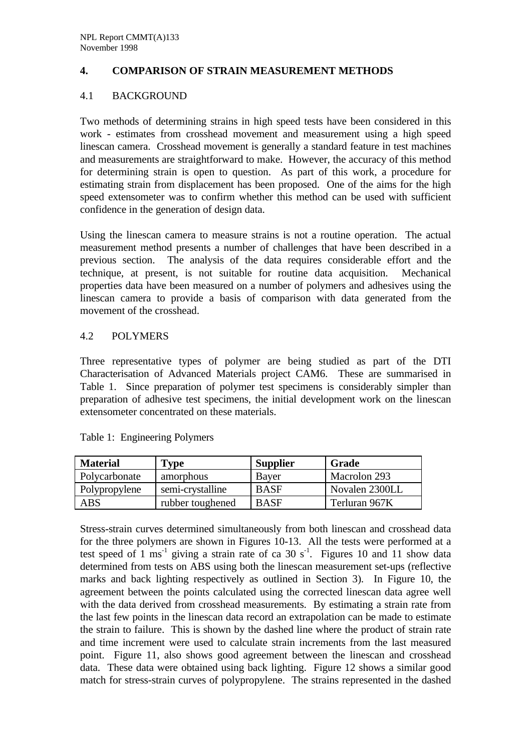#### **4. COMPARISON OF STRAIN MEASUREMENT METHODS**

#### 4.1 BACKGROUND

Two methods of determining strains in high speed tests have been considered in this work - estimates from crosshead movement and measurement using a high speed linescan camera. Crosshead movement is generally a standard feature in test machines and measurements are straightforward to make. However, the accuracy of this method for determining strain is open to question. As part of this work, a procedure for estimating strain from displacement has been proposed. One of the aims for the high speed extensometer was to confirm whether this method can be used with sufficient confidence in the generation of design data.

Using the linescan camera to measure strains is not a routine operation. The actual measurement method presents a number of challenges that have been described in a previous section. The analysis of the data requires considerable effort and the technique, at present, is not suitable for routine data acquisition. Mechanical properties data have been measured on a number of polymers and adhesives using the linescan camera to provide a basis of comparison with data generated from the movement of the crosshead.

#### 4.2 POLYMERS

Three representative types of polymer are being studied as part of the DTI Characterisation of Advanced Materials project CAM6. These are summarised in Table 1. Since preparation of polymer test specimens is considerably simpler than preparation of adhesive test specimens, the initial development work on the linescan extensometer concentrated on these materials.

| <b>Material</b> | Type             | <b>Supplier</b> | Grade          |
|-----------------|------------------|-----------------|----------------|
| Polycarbonate   | amorphous        | Bayer           | Macrolon 293   |
| Polypropylene   | semi-crystalline | <b>BASF</b>     | Novalen 2300LL |
| ABS             | rubber toughened | <b>BASF</b>     | Terluran 967K  |

Table 1: Engineering Polymers

Stress-strain curves determined simultaneously from both linescan and crosshead data for the three polymers are shown in Figures 10-13. All the tests were performed at a test speed of 1 ms<sup>-1</sup> giving a strain rate of ca 30 s<sup>-1</sup>. Figures 10 and 11 show data determined from tests on ABS using both the linescan measurement set-ups (reflective marks and back lighting respectively as outlined in Section 3). In Figure 10, the agreement between the points calculated using the corrected linescan data agree well with the data derived from crosshead measurements. By estimating a strain rate from the last few points in the linescan data record an extrapolation can be made to estimate the strain to failure. This is shown by the dashed line where the product of strain rate and time increment were used to calculate strain increments from the last measured point. Figure 11, also shows good agreement between the linescan and crosshead data. These data were obtained using back lighting. Figure 12 shows a similar good match for stress-strain curves of polypropylene. The strains represented in the dashed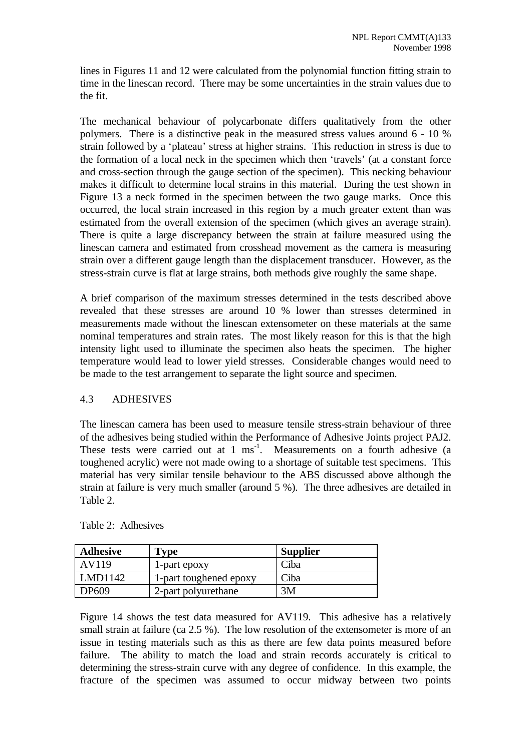lines in Figures 11 and 12 were calculated from the polynomial function fitting strain to time in the linescan record. There may be some uncertainties in the strain values due to the fit.

The mechanical behaviour of polycarbonate differs qualitatively from the other polymers. There is a distinctive peak in the measured stress values around 6 - 10 % strain followed by a 'plateau' stress at higher strains. This reduction in stress is due to the formation of a local neck in the specimen which then 'travels' (at a constant force and cross-section through the gauge section of the specimen). This necking behaviour makes it difficult to determine local strains in this material. During the test shown in Figure 13 a neck formed in the specimen between the two gauge marks. Once this occurred, the local strain increased in this region by a much greater extent than was estimated from the overall extension of the specimen (which gives an average strain). There is quite a large discrepancy between the strain at failure measured using the linescan camera and estimated from crosshead movement as the camera is measuring strain over a different gauge length than the displacement transducer. However, as the stress-strain curve is flat at large strains, both methods give roughly the same shape.

A brief comparison of the maximum stresses determined in the tests described above revealed that these stresses are around 10 % lower than stresses determined in measurements made without the linescan extensometer on these materials at the same nominal temperatures and strain rates. The most likely reason for this is that the high intensity light used to illuminate the specimen also heats the specimen. The higher temperature would lead to lower yield stresses. Considerable changes would need to be made to the test arrangement to separate the light source and specimen.

#### 4.3 ADHESIVES

The linescan camera has been used to measure tensile stress-strain behaviour of three of the adhesives being studied within the Performance of Adhesive Joints project PAJ2. These tests were carried out at 1 ms<sup>-1</sup>. Measurements on a fourth adhesive (a toughened acrylic) were not made owing to a shortage of suitable test specimens. This material has very similar tensile behaviour to the ABS discussed above although the strain at failure is very much smaller (around 5 %). The three adhesives are detailed in Table 2.

| <b>Adhesive</b> | Type                   | <b>Supplier</b> |
|-----------------|------------------------|-----------------|
| AV119           | 1-part epoxy           | Ciba            |
| LMD1142         | 1-part toughened epoxy | Ciba            |
| DP609           | 2-part polyurethane    | 3M              |

Figure 14 shows the test data measured for AV119. This adhesive has a relatively small strain at failure (ca 2.5 %). The low resolution of the extensometer is more of an issue in testing materials such as this as there are few data points measured before failure. The ability to match the load and strain records accurately is critical to determining the stress-strain curve with any degree of confidence. In this example, the fracture of the specimen was assumed to occur midway between two points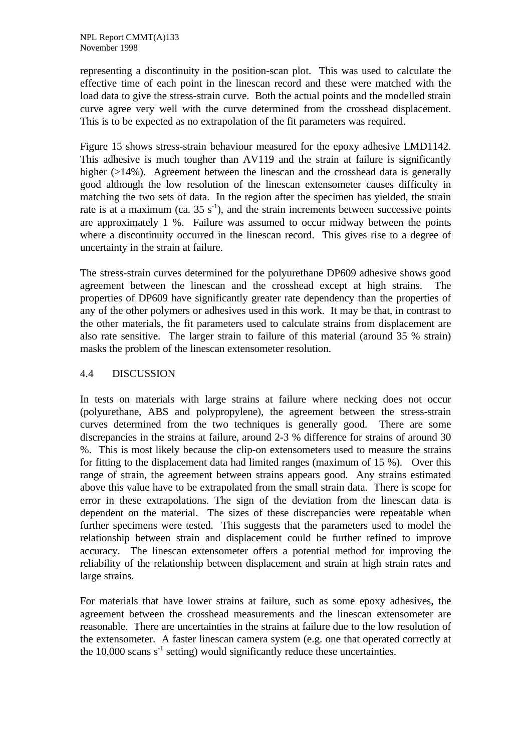representing a discontinuity in the position-scan plot. This was used to calculate the effective time of each point in the linescan record and these were matched with the load data to give the stress-strain curve. Both the actual points and the modelled strain curve agree very well with the curve determined from the crosshead displacement. This is to be expected as no extrapolation of the fit parameters was required.

Figure 15 shows stress-strain behaviour measured for the epoxy adhesive LMD1142. This adhesive is much tougher than AV119 and the strain at failure is significantly higher (>14%). Agreement between the linescan and the crosshead data is generally good although the low resolution of the linescan extensometer causes difficulty in matching the two sets of data. In the region after the specimen has yielded, the strain rate is at a maximum (ca.  $35 \text{ s}^{-1}$ ), and the strain increments between successive points are approximately 1 %. Failure was assumed to occur midway between the points where a discontinuity occurred in the linescan record. This gives rise to a degree of uncertainty in the strain at failure.

The stress-strain curves determined for the polyurethane DP609 adhesive shows good agreement between the linescan and the crosshead except at high strains. The properties of DP609 have significantly greater rate dependency than the properties of any of the other polymers or adhesives used in this work. It may be that, in contrast to the other materials, the fit parameters used to calculate strains from displacement are also rate sensitive. The larger strain to failure of this material (around 35 % strain) masks the problem of the linescan extensometer resolution.

#### 4.4 DISCUSSION

In tests on materials with large strains at failure where necking does not occur (polyurethane, ABS and polypropylene), the agreement between the stress-strain curves determined from the two techniques is generally good. There are some discrepancies in the strains at failure, around 2-3 % difference for strains of around 30 %. This is most likely because the clip-on extensometers used to measure the strains for fitting to the displacement data had limited ranges (maximum of 15 %). Over this range of strain, the agreement between strains appears good. Any strains estimated above this value have to be extrapolated from the small strain data. There is scope for error in these extrapolations. The sign of the deviation from the linescan data is dependent on the material. The sizes of these discrepancies were repeatable when further specimens were tested. This suggests that the parameters used to model the relationship between strain and displacement could be further refined to improve accuracy. The linescan extensometer offers a potential method for improving the reliability of the relationship between displacement and strain at high strain rates and large strains.

For materials that have lower strains at failure, such as some epoxy adhesives, the agreement between the crosshead measurements and the linescan extensometer are reasonable. There are uncertainties in the strains at failure due to the low resolution of the extensometer. A faster linescan camera system (e.g. one that operated correctly at the 10,000 scans  $s^{-1}$  setting) would significantly reduce these uncertainties.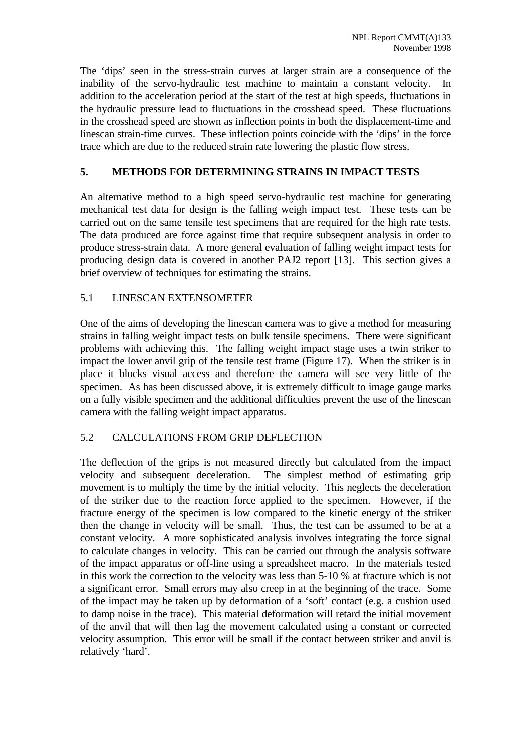The 'dips' seen in the stress-strain curves at larger strain are a consequence of the inability of the servo-hydraulic test machine to maintain a constant velocity. In addition to the acceleration period at the start of the test at high speeds, fluctuations in the hydraulic pressure lead to fluctuations in the crosshead speed. These fluctuations in the crosshead speed are shown as inflection points in both the displacement-time and linescan strain-time curves. These inflection points coincide with the 'dips' in the force trace which are due to the reduced strain rate lowering the plastic flow stress.

#### **5. METHODS FOR DETERMINING STRAINS IN IMPACT TESTS**

An alternative method to a high speed servo-hydraulic test machine for generating mechanical test data for design is the falling weigh impact test. These tests can be carried out on the same tensile test specimens that are required for the high rate tests. The data produced are force against time that require subsequent analysis in order to produce stress-strain data. A more general evaluation of falling weight impact tests for producing design data is covered in another PAJ2 report [13]. This section gives a brief overview of techniques for estimating the strains.

#### 5.1 LINESCAN EXTENSOMETER

One of the aims of developing the linescan camera was to give a method for measuring strains in falling weight impact tests on bulk tensile specimens. There were significant problems with achieving this. The falling weight impact stage uses a twin striker to impact the lower anvil grip of the tensile test frame (Figure 17). When the striker is in place it blocks visual access and therefore the camera will see very little of the specimen. As has been discussed above, it is extremely difficult to image gauge marks on a fully visible specimen and the additional difficulties prevent the use of the linescan camera with the falling weight impact apparatus.

#### 5.2 CALCULATIONS FROM GRIP DEFLECTION

The deflection of the grips is not measured directly but calculated from the impact velocity and subsequent deceleration. The simplest method of estimating grip movement is to multiply the time by the initial velocity. This neglects the deceleration of the striker due to the reaction force applied to the specimen. However, if the fracture energy of the specimen is low compared to the kinetic energy of the striker then the change in velocity will be small. Thus, the test can be assumed to be at a constant velocity. A more sophisticated analysis involves integrating the force signal to calculate changes in velocity. This can be carried out through the analysis software of the impact apparatus or off-line using a spreadsheet macro. In the materials tested in this work the correction to the velocity was less than 5-10 % at fracture which is not a significant error. Small errors may also creep in at the beginning of the trace. Some of the impact may be taken up by deformation of a 'soft' contact (e.g. a cushion used to damp noise in the trace). This material deformation will retard the initial movement of the anvil that will then lag the movement calculated using a constant or corrected velocity assumption. This error will be small if the contact between striker and anvil is relatively 'hard'.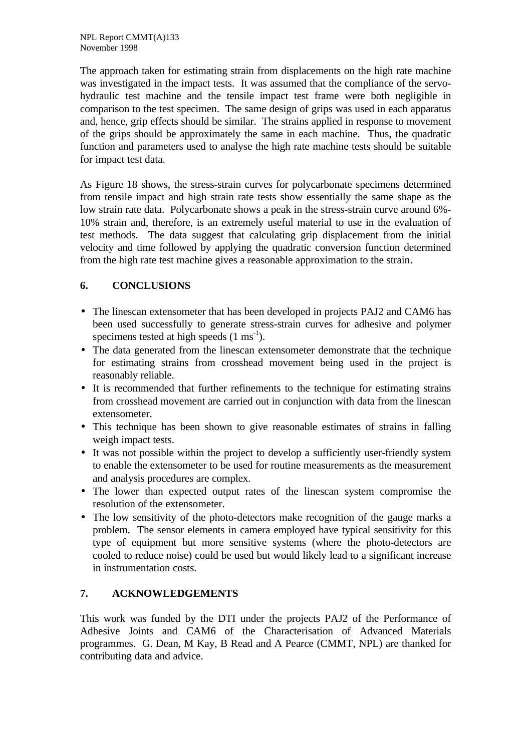The approach taken for estimating strain from displacements on the high rate machine was investigated in the impact tests. It was assumed that the compliance of the servohydraulic test machine and the tensile impact test frame were both negligible in comparison to the test specimen. The same design of grips was used in each apparatus and, hence, grip effects should be similar. The strains applied in response to movement of the grips should be approximately the same in each machine. Thus, the quadratic function and parameters used to analyse the high rate machine tests should be suitable for impact test data.

As Figure 18 shows, the stress-strain curves for polycarbonate specimens determined from tensile impact and high strain rate tests show essentially the same shape as the low strain rate data. Polycarbonate shows a peak in the stress-strain curve around 6%- 10% strain and, therefore, is an extremely useful material to use in the evaluation of test methods. The data suggest that calculating grip displacement from the initial velocity and time followed by applying the quadratic conversion function determined from the high rate test machine gives a reasonable approximation to the strain.

### **6. CONCLUSIONS**

- The linescan extensometer that has been developed in projects PAJ2 and CAM6 has been used successfully to generate stress-strain curves for adhesive and polymer specimens tested at high speeds  $(1 \text{ ms}^{-1})$ .
- The data generated from the linescan extensometer demonstrate that the technique for estimating strains from crosshead movement being used in the project is reasonably reliable.
- It is recommended that further refinements to the technique for estimating strains from crosshead movement are carried out in conjunction with data from the linescan extensometer.
- This technique has been shown to give reasonable estimates of strains in falling weigh impact tests.
- It was not possible within the project to develop a sufficiently user-friendly system to enable the extensometer to be used for routine measurements as the measurement and analysis procedures are complex.
- The lower than expected output rates of the linescan system compromise the resolution of the extensometer.
- The low sensitivity of the photo-detectors make recognition of the gauge marks a problem. The sensor elements in camera employed have typical sensitivity for this type of equipment but more sensitive systems (where the photo-detectors are cooled to reduce noise) could be used but would likely lead to a significant increase in instrumentation costs.

## **7. ACKNOWLEDGEMENTS**

This work was funded by the DTI under the projects PAJ2 of the Performance of Adhesive Joints and CAM6 of the Characterisation of Advanced Materials programmes. G. Dean, M Kay, B Read and A Pearce (CMMT, NPL) are thanked for contributing data and advice.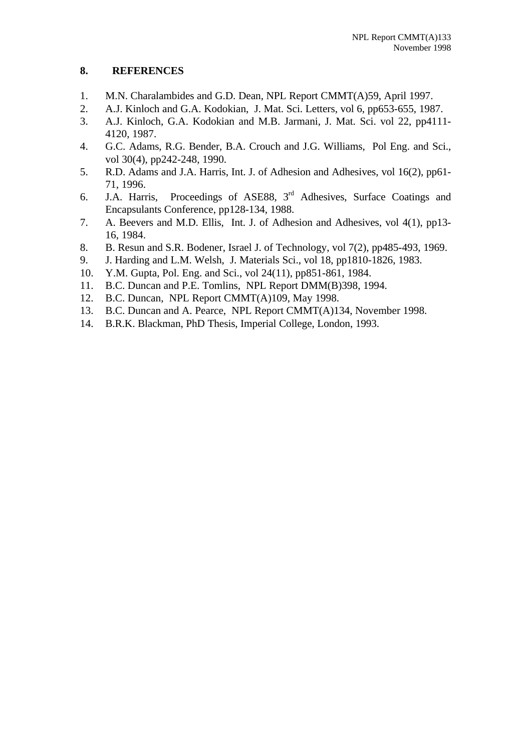#### **8. REFERENCES**

- 1. M.N. Charalambides and G.D. Dean, NPL Report CMMT(A)59, April 1997.
- 2. A.J. Kinloch and G.A. Kodokian, J. Mat. Sci. Letters, vol 6, pp653-655, 1987.
- 3. A.J. Kinloch, G.A. Kodokian and M.B. Jarmani, J. Mat. Sci. vol 22, pp4111- 4120, 1987.
- 4. G.C. Adams, R.G. Bender, B.A. Crouch and J.G. Williams, Pol Eng. and Sci., vol 30(4), pp242-248, 1990.
- 5. R.D. Adams and J.A. Harris, Int. J. of Adhesion and Adhesives, vol 16(2), pp61- 71, 1996.
- 6. J.A. Harris, Proceedings of ASE88,  $3<sup>rd</sup>$  Adhesives, Surface Coatings and Encapsulants Conference, pp128-134, 1988.
- 7. A. Beevers and M.D. Ellis, Int. J. of Adhesion and Adhesives, vol 4(1), pp13- 16, 1984.
- 8. B. Resun and S.R. Bodener, Israel J. of Technology, vol 7(2), pp485-493, 1969.
- 9. J. Harding and L.M. Welsh, J. Materials Sci., vol 18, pp1810-1826, 1983.
- 10. Y.M. Gupta, Pol. Eng. and Sci., vol 24(11), pp851-861, 1984.
- 11. B.C. Duncan and P.E. Tomlins, NPL Report DMM(B)398, 1994.
- 12. B.C. Duncan, NPL Report CMMT(A)109, May 1998.
- 13. B.C. Duncan and A. Pearce, NPL Report CMMT(A)134, November 1998.
- 14. B.R.K. Blackman, PhD Thesis, Imperial College, London, 1993.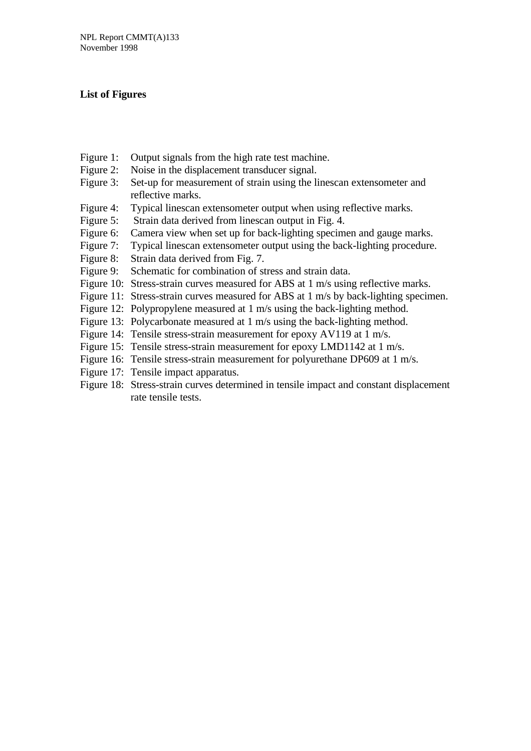#### **List of Figures**

- Figure 1: Output signals from the high rate test machine.
- Figure 2: Noise in the displacement transducer signal.
- Figure 3: Set-up for measurement of strain using the linescan extensometer and reflective marks.
- Figure 4: Typical linescan extensometer output when using reflective marks.
- Figure 5: Strain data derived from linescan output in Fig. 4.
- Figure 6: Camera view when set up for back-lighting specimen and gauge marks.
- Figure 7: Typical linescan extensometer output using the back-lighting procedure.
- Figure 8: Strain data derived from Fig. 7.
- Figure 9: Schematic for combination of stress and strain data.
- Figure 10: Stress-strain curves measured for ABS at 1 m/s using reflective marks.
- Figure 11: Stress-strain curves measured for ABS at 1 m/s by back-lighting specimen.
- Figure 12: Polypropylene measured at 1 m/s using the back-lighting method.
- Figure 13: Polycarbonate measured at 1 m/s using the back-lighting method.
- Figure 14: Tensile stress-strain measurement for epoxy AV119 at 1 m/s.
- Figure 15: Tensile stress-strain measurement for epoxy LMD1142 at 1 m/s.
- Figure 16: Tensile stress-strain measurement for polyurethane DP609 at 1 m/s.
- Figure 17: Tensile impact apparatus.
- Figure 18: Stress-strain curves determined in tensile impact and constant displacement rate tensile tests.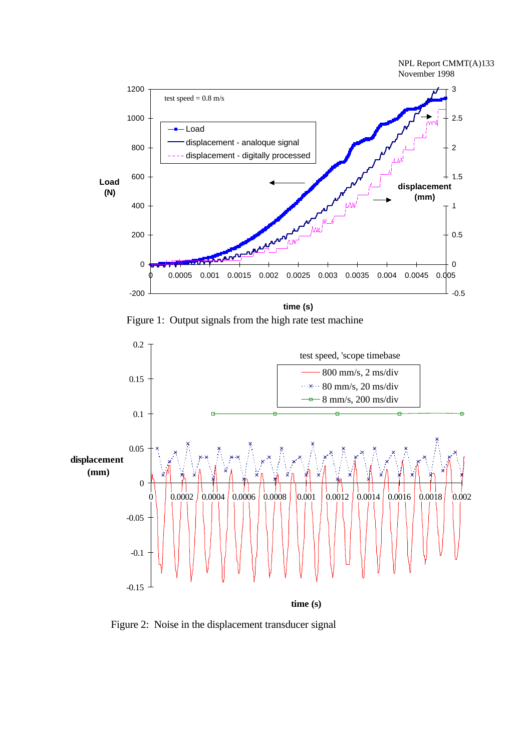

Figure 1: Output signals from the high rate test machine



Figure 2: Noise in the displacement transducer signal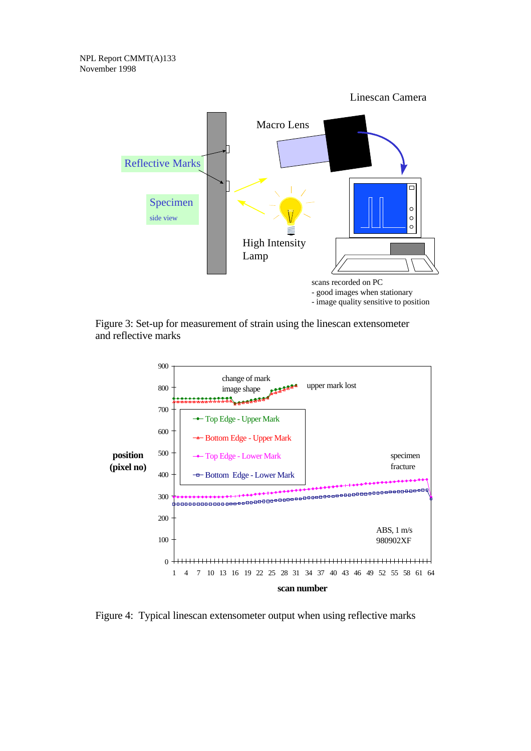

Figure 3: Set-up for measurement of strain using the linescan extensometer and reflective marks



Figure 4: Typical linescan extensometer output when using reflective marks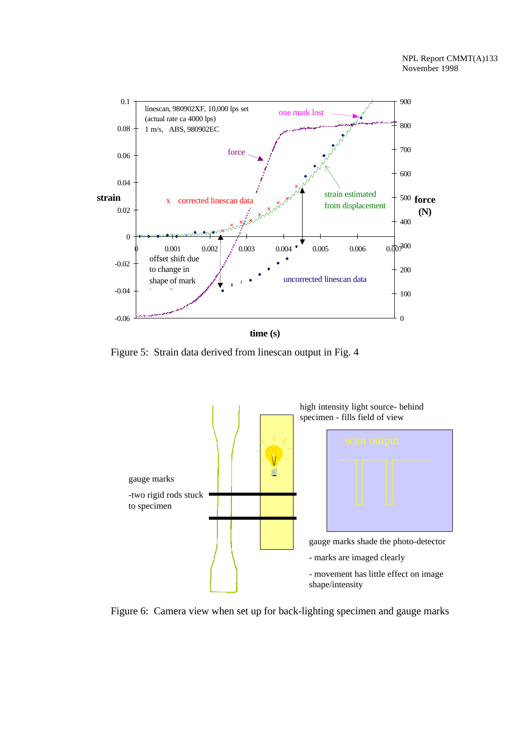

Figure 5: Strain data derived from linescan output in Fig. 4



Figure 6: Camera view when set up for back-lighting specimen and gauge marks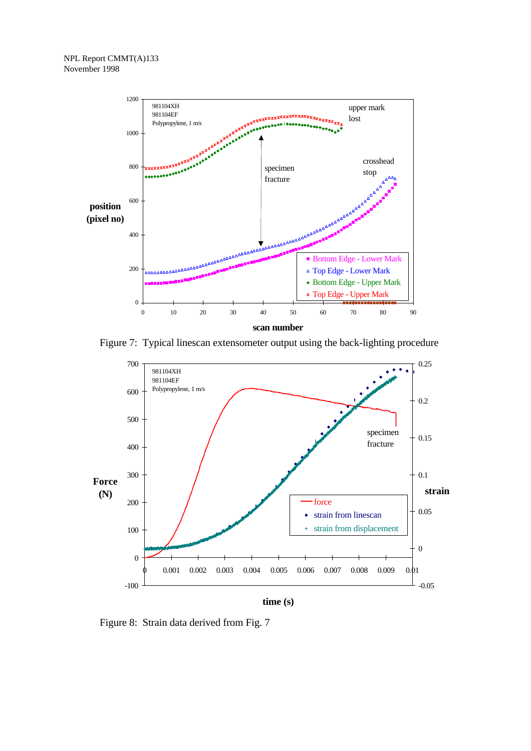

Figure 7: Typical linescan extensometer output using the back-lighting procedure



Figure 8: Strain data derived from Fig. 7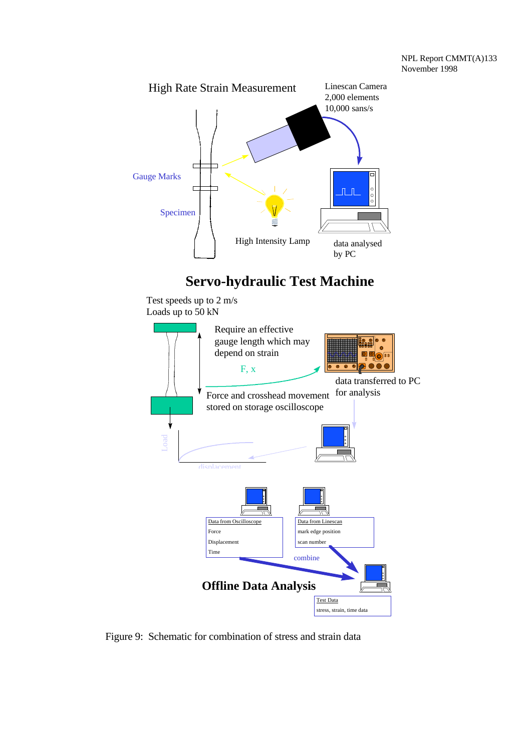

# **Servo-hydraulic Test Machine**

Test speeds up to 2 m/s Loads up to 50 kN



Figure 9: Schematic for combination of stress and strain data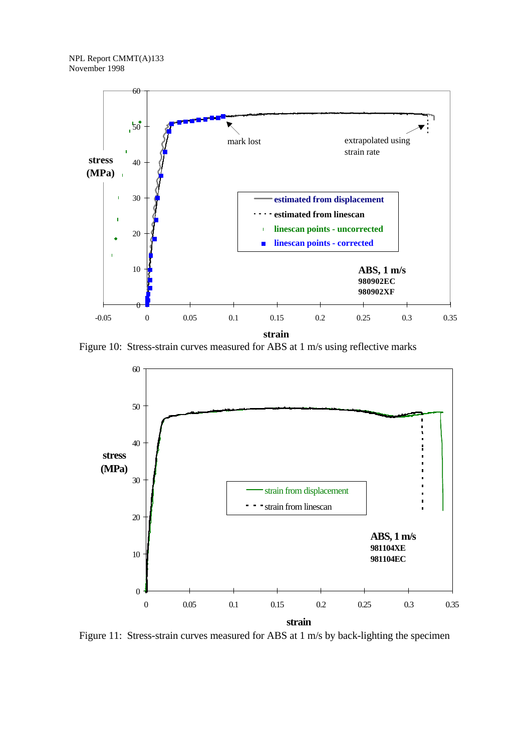

Figure 10: Stress-strain curves measured for ABS at 1 m/s using reflective marks



Figure 11: Stress-strain curves measured for ABS at 1 m/s by back-lighting the specimen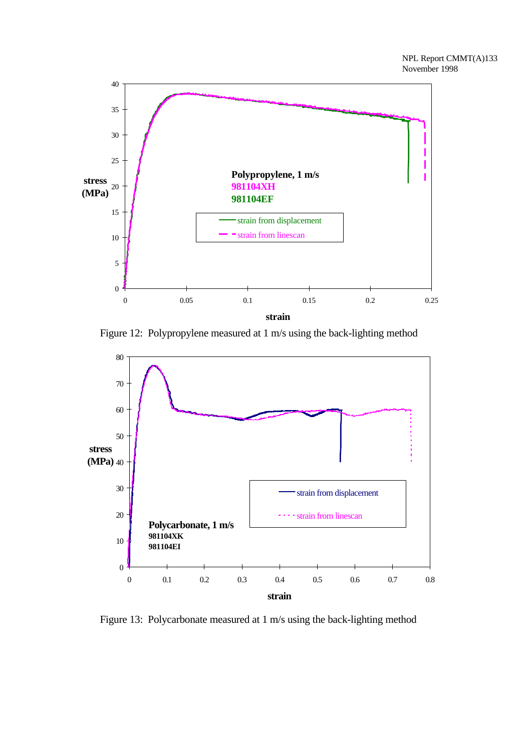

Figure 12: Polypropylene measured at 1 m/s using the back-lighting method



Figure 13: Polycarbonate measured at 1 m/s using the back-lighting method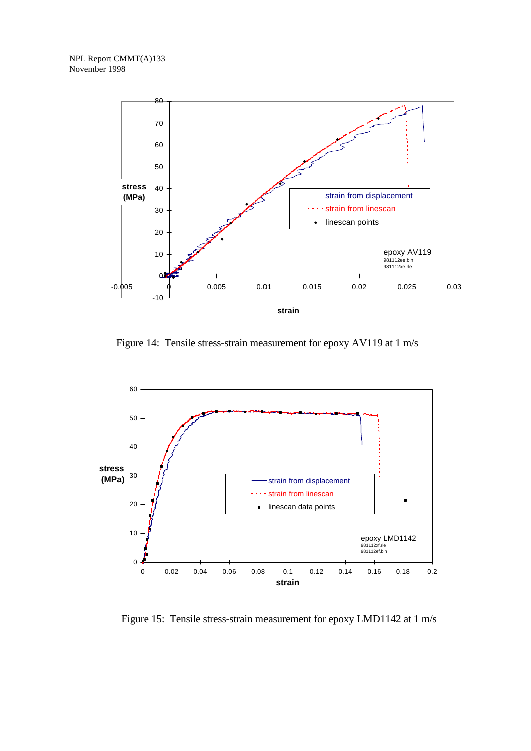NPL Report CMMT(A)133 November 1998



Figure 14: Tensile stress-strain measurement for epoxy AV119 at 1 m/s



Figure 15: Tensile stress-strain measurement for epoxy LMD1142 at 1 m/s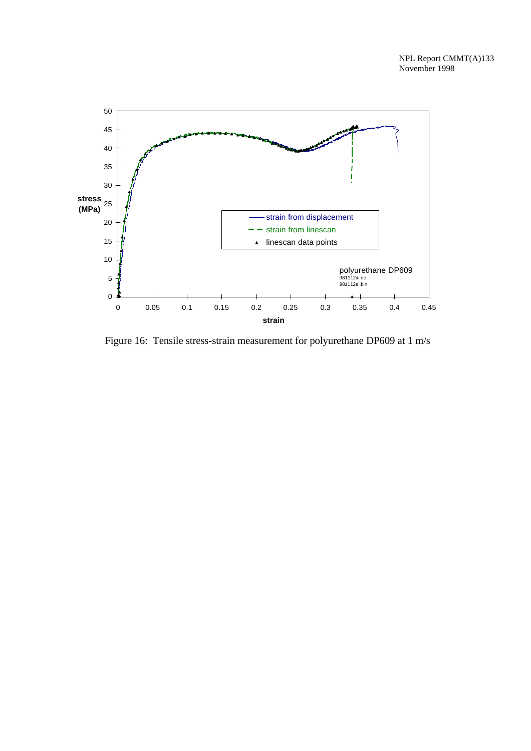

Figure 16: Tensile stress-strain measurement for polyurethane DP609 at 1 m/s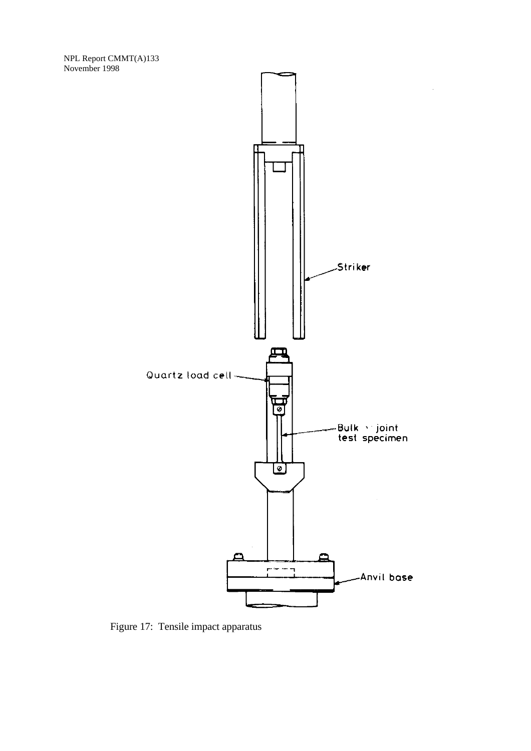NPL Report CMMT(A)133 November 1998



 $\bar{z}$ 

Figure 17: Tensile impact apparatus